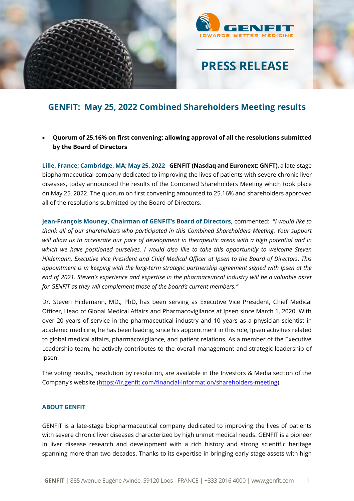



# **PRESS RELEASE**

### **GENFIT: May 25, 2022 Combined Shareholders Meeting results**

• **Quorum of 25.16% on first convening; allowing approval of all the resolutions submitted by the Board of Directors** 

**Lille, France; Cambridge, MA; May 25, 2022** - **GENFIT (Nasdaq and Euronext: GNFT)**, a late-stage biopharmaceutical company dedicated to improving the lives of patients with severe chronic liver diseases, today announced the results of the Combined Shareholders Meeting which took place on May 25, 2022. The quorum on first convening amounted to 25.16% and shareholders approved all of the resolutions submitted by the Board of Directors.

**Jean-François Mouney, Chairman of GENFIT's Board of Directors,** commented: "*I would like to thank all of our shareholders who participated in this Combined Shareholders Meeting. Your support will allow us to accelerate our pace of development in therapeutic areas with a high potential and in which we have positioned ourselves. I would also like to take this opportunitiy to welcome Steven Hildemann, Executive Vice President and Chief Medical Officer at Ipsen to the Board of Directors. This appointment is in keeping with the long-term strategic partnership agreement signed with Ipsen at the end of 2021. Steven's experience and expertise in the pharmaceutical industry will be a valuable asset for GENFIT as they will complement those of the board's current members."* 

Dr. Steven Hildemann, MD., PhD, has been serving as Executive Vice President, Chief Medical Officer, Head of Global Medical Affairs and Pharmacovigilance at Ipsen since March 1, 2020. With over 20 years of service in the pharmaceutical industry and 10 years as a physician-scientist in academic medicine, he has been leading, since his appointment in this role, Ipsen activities related to global medical affairs, pharmacovigilance, and patient relations. As a member of the Executive Leadership team, he actively contributes to the overall management and strategic leadership of Ipsen.

The voting results, resolution by resolution, are available in the Investors & Media section of the Company's website ([https://ir.genfit.com/financial-information/shareholders-meeting\)](https://ir.genfit.com/financial-information/shareholders-meeting).

#### **ABOUT GENFIT**

GENFIT is a late-stage biopharmaceutical company dedicated to improving the lives of patients with severe chronic liver diseases characterized by high unmet medical needs. GENFIT is a pioneer in liver disease research and development with a rich history and strong scientific heritage spanning more than two decades. Thanks to its expertise in bringing early-stage assets with high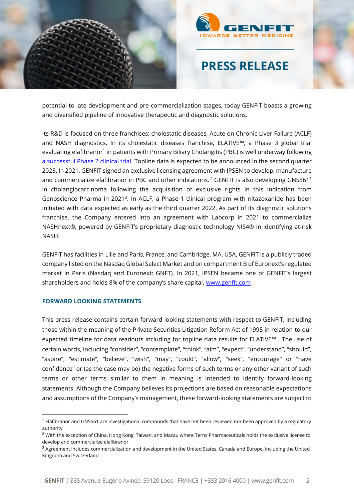



## **PRESS RELEASE**

potential to late development and pre-commercialization stages, today GENFIT boasts a growing and diversified pipeline of innovative therapeutic and diagnostic solutions.

Its R&D is focused on three franchises: cholestatic diseases, Acute on Chronic Liver Failure (ACLF) and NASH diagnostics. In its cholestatic diseases franchise, ELATIVE™, a Phase 3 global trial evaluating elafibranor<sup>1</sup> in patients with Primary Biliary Cholangitis (PBC) is well underway following [a successful Phase 2 clinical trial.](https://pubmed.ncbi.nlm.nih.gov/33484775/) Topline data is expected to be announced in the second quarter 2023. In 2021, GENFIT signed an exclusive licensing agreement with IPSEN to develop, manufacture and commercialize elafibranor in PBC and other indications.<sup>2</sup> GENFIT is also developing GNS561<sup>1</sup> in cholangiocarcinoma following the acquisition of exclusive rights in this indication from Genoscience Pharma in 2021<sup>3</sup>. In ACLF, a Phase 1 clinical program with nitazoxanide has been initiated with data expected as early as the third quarter 2022. As part of its diagnostic solutions franchise, the Company entered into an agreement with Labcorp in 2021 to commercialize NASHnext®, powered by GENFIT's proprietary diagnostic technology NIS4® in identifying at-risk NASH.

GENFIT has facilities in Lille and Paris, France, and Cambridge, MA, USA. GENFIT is a publicly traded company listed on the Nasdaq Global Select Market and on compartment B of Euronext's regulated market in Paris (Nasdaq and Euronext: GNFT). In 2021, IPSEN became one of GENFIT's largest shareholders and holds 8% of the company's share capital. [www.genfit.com](http://www.genfit.com/)

#### **FORWARD LOOKING STATEMENTS**

This press release contains certain forward-looking statements with respect to GENFIT, including those within the meaning of the Private Securities Litigation Reform Act of 1995 in relation to our expected timeline for data readouts including for topline data results for ELATIVE™. The use of certain words, including "consider", "contemplate", "think", "aim", "expect", "understand", "should", "aspire", "estimate", "believe", "wish", "may", "could", "allow", "seek", "encourage" or "have confidence" or (as the case may be) the negative forms of such terms or any other variant of such terms or other terms similar to them in meaning is intended to identify forward-looking statements. Although the Company believes its projections are based on reasonable expectations and assumptions of the Company's management, these forward-looking statements are subject to

 $^1$  Elafibranor and GNS561 are investigational compounds that have not been reviewed nor been approved by a regulatory authority

<sup>&</sup>lt;sup>2</sup> With the exception of China, Hong Kong, Taiwan, and Macau where Terns Pharmaceuticals holds the exclusive license to develop and commercialize elafibranor

<sup>&</sup>lt;sup>3</sup> Agreement includes commercialization and development in the United States, Canada and Europe, including the United Kingdom and Switzerland